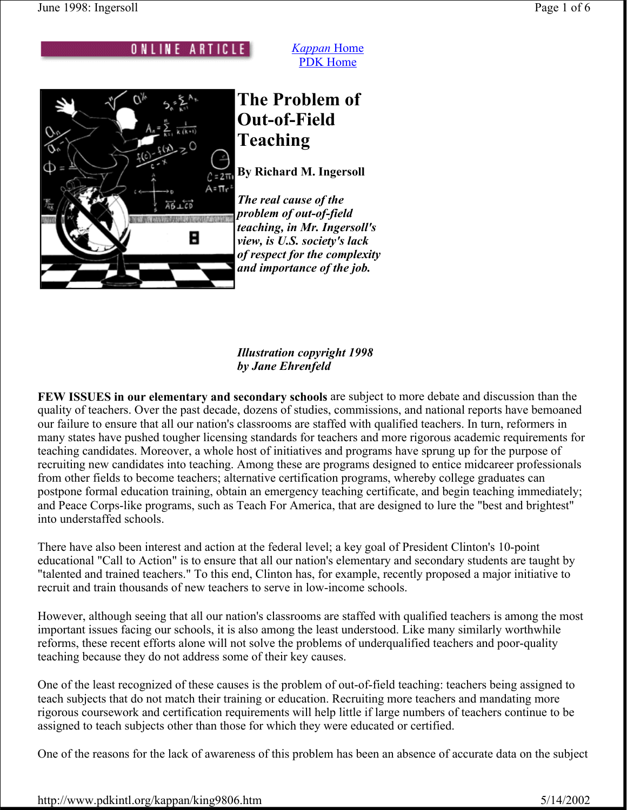ONLINE ARTICLE



# **The Problem of Out-of-Field Teaching**

*Kappan* Home PDK Home

**By Richard M. Ingersoll**

*The real cause of the problem of out-of-field teaching, in Mr. Ingersoll's view, is U.S. society's lack of respect for the complexity and importance of the job.*

#### *Illustration copyright 1998 by Jane Ehrenfeld*

**FEW ISSUES in our elementary and secondary schools** are subject to more debate and discussion than the quality of teachers. Over the past decade, dozens of studies, commissions, and national reports have bemoaned our failure to ensure that all our nation's classrooms are staffed with qualified teachers. In turn, reformers in many states have pushed tougher licensing standards for teachers and more rigorous academic requirements for teaching candidates. Moreover, a whole host of initiatives and programs have sprung up for the purpose of recruiting new candidates into teaching. Among these are programs designed to entice midcareer professionals from other fields to become teachers; alternative certification programs, whereby college graduates can postpone formal education training, obtain an emergency teaching certificate, and begin teaching immediately; and Peace Corps-like programs, such as Teach For America, that are designed to lure the "best and brightest" into understaffed schools.

There have also been interest and action at the federal level; a key goal of President Clinton's 10-point educational "Call to Action" is to ensure that all our nation's elementary and secondary students are taught by "talented and trained teachers." To this end, Clinton has, for example, recently proposed a major initiative to recruit and train thousands of new teachers to serve in low-income schools.

However, although seeing that all our nation's classrooms are staffed with qualified teachers is among the most important issues facing our schools, it is also among the least understood. Like many similarly worthwhile reforms, these recent efforts alone will not solve the problems of underqualified teachers and poor-quality teaching because they do not address some of their key causes.

One of the least recognized of these causes is the problem of out-of-field teaching: teachers being assigned to teach subjects that do not match their training or education. Recruiting more teachers and mandating more rigorous coursework and certification requirements will help little if large numbers of teachers continue to be assigned to teach subjects other than those for which they were educated or certified.

One of the reasons for the lack of awareness of this problem has been an absence of accurate data on the subject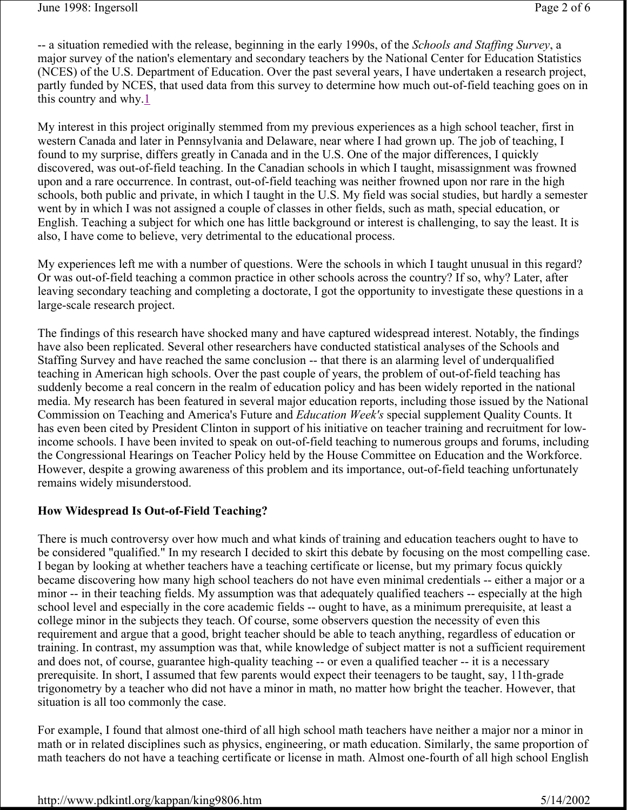-- a situation remedied with the release, beginning in the early 1990s, of the *Schools and Staffing Survey*, a major survey of the nation's elementary and secondary teachers by the National Center for Education Statistics (NCES) of the U.S. Department of Education. Over the past several years, I have undertaken a research project, partly funded by NCES, that used data from this survey to determine how much out-of-field teaching goes on in this country and why.1

My interest in this project originally stemmed from my previous experiences as a high school teacher, first in western Canada and later in Pennsylvania and Delaware, near where I had grown up. The job of teaching, I found to my surprise, differs greatly in Canada and in the U.S. One of the major differences, I quickly discovered, was out-of-field teaching. In the Canadian schools in which I taught, misassignment was frowned upon and a rare occurrence. In contrast, out-of-field teaching was neither frowned upon nor rare in the high schools, both public and private, in which I taught in the U.S. My field was social studies, but hardly a semester went by in which I was not assigned a couple of classes in other fields, such as math, special education, or English. Teaching a subject for which one has little background or interest is challenging, to say the least. It is also, I have come to believe, very detrimental to the educational process.

My experiences left me with a number of questions. Were the schools in which I taught unusual in this regard? Or was out-of-field teaching a common practice in other schools across the country? If so, why? Later, after leaving secondary teaching and completing a doctorate, I got the opportunity to investigate these questions in a large-scale research project.

The findings of this research have shocked many and have captured widespread interest. Notably, the findings have also been replicated. Several other researchers have conducted statistical analyses of the Schools and Staffing Survey and have reached the same conclusion -- that there is an alarming level of underqualified teaching in American high schools. Over the past couple of years, the problem of out-of-field teaching has suddenly become a real concern in the realm of education policy and has been widely reported in the national media. My research has been featured in several major education reports, including those issued by the National Commission on Teaching and America's Future and *Education Week's* special supplement Quality Counts. It has even been cited by President Clinton in support of his initiative on teacher training and recruitment for lowincome schools. I have been invited to speak on out-of-field teaching to numerous groups and forums, including the Congressional Hearings on Teacher Policy held by the House Committee on Education and the Workforce. However, despite a growing awareness of this problem and its importance, out-of-field teaching unfortunately remains widely misunderstood.

## **How Widespread Is Out-of-Field Teaching?**

There is much controversy over how much and what kinds of training and education teachers ought to have to be considered "qualified." In my research I decided to skirt this debate by focusing on the most compelling case. I began by looking at whether teachers have a teaching certificate or license, but my primary focus quickly became discovering how many high school teachers do not have even minimal credentials -- either a major or a minor -- in their teaching fields. My assumption was that adequately qualified teachers -- especially at the high school level and especially in the core academic fields -- ought to have, as a minimum prerequisite, at least a college minor in the subjects they teach. Of course, some observers question the necessity of even this requirement and argue that a good, bright teacher should be able to teach anything, regardless of education or training. In contrast, my assumption was that, while knowledge of subject matter is not a sufficient requirement and does not, of course, guarantee high-quality teaching -- or even a qualified teacher -- it is a necessary prerequisite. In short, I assumed that few parents would expect their teenagers to be taught, say, 11th-grade trigonometry by a teacher who did not have a minor in math, no matter how bright the teacher. However, that situation is all too commonly the case.

For example, I found that almost one-third of all high school math teachers have neither a major nor a minor in math or in related disciplines such as physics, engineering, or math education. Similarly, the same proportion of math teachers do not have a teaching certificate or license in math. Almost one-fourth of all high school English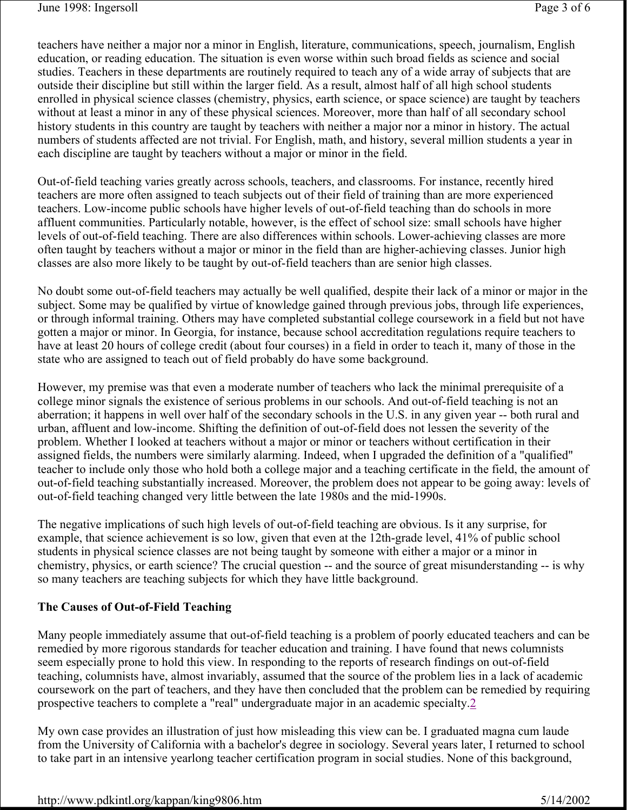teachers have neither a major nor a minor in English, literature, communications, speech, journalism, English education, or reading education. The situation is even worse within such broad fields as science and social studies. Teachers in these departments are routinely required to teach any of a wide array of subjects that are outside their discipline but still within the larger field. As a result, almost half of all high school students enrolled in physical science classes (chemistry, physics, earth science, or space science) are taught by teachers without at least a minor in any of these physical sciences. Moreover, more than half of all secondary school history students in this country are taught by teachers with neither a major nor a minor in history. The actual numbers of students affected are not trivial. For English, math, and history, several million students a year in each discipline are taught by teachers without a major or minor in the field.

Out-of-field teaching varies greatly across schools, teachers, and classrooms. For instance, recently hired teachers are more often assigned to teach subjects out of their field of training than are more experienced teachers. Low-income public schools have higher levels of out-of-field teaching than do schools in more affluent communities. Particularly notable, however, is the effect of school size: small schools have higher levels of out-of-field teaching. There are also differences within schools. Lower-achieving classes are more often taught by teachers without a major or minor in the field than are higher-achieving classes. Junior high classes are also more likely to be taught by out-of-field teachers than are senior high classes.

No doubt some out-of-field teachers may actually be well qualified, despite their lack of a minor or major in the subject. Some may be qualified by virtue of knowledge gained through previous jobs, through life experiences, or through informal training. Others may have completed substantial college coursework in a field but not have gotten a major or minor. In Georgia, for instance, because school accreditation regulations require teachers to have at least 20 hours of college credit (about four courses) in a field in order to teach it, many of those in the state who are assigned to teach out of field probably do have some background.

However, my premise was that even a moderate number of teachers who lack the minimal prerequisite of a college minor signals the existence of serious problems in our schools. And out-of-field teaching is not an aberration; it happens in well over half of the secondary schools in the U.S. in any given year -- both rural and urban, affluent and low-income. Shifting the definition of out-of-field does not lessen the severity of the problem. Whether I looked at teachers without a major or minor or teachers without certification in their assigned fields, the numbers were similarly alarming. Indeed, when I upgraded the definition of a "qualified" teacher to include only those who hold both a college major and a teaching certificate in the field, the amount of out-of-field teaching substantially increased. Moreover, the problem does not appear to be going away: levels of out-of-field teaching changed very little between the late 1980s and the mid-1990s.

The negative implications of such high levels of out-of-field teaching are obvious. Is it any surprise, for example, that science achievement is so low, given that even at the 12th-grade level, 41% of public school students in physical science classes are not being taught by someone with either a major or a minor in chemistry, physics, or earth science? The crucial question -- and the source of great misunderstanding -- is why so many teachers are teaching subjects for which they have little background.

## **The Causes of Out-of-Field Teaching**

Many people immediately assume that out-of-field teaching is a problem of poorly educated teachers and can be remedied by more rigorous standards for teacher education and training. I have found that news columnists seem especially prone to hold this view. In responding to the reports of research findings on out-of-field teaching, columnists have, almost invariably, assumed that the source of the problem lies in a lack of academic coursework on the part of teachers, and they have then concluded that the problem can be remedied by requiring prospective teachers to complete a "real" undergraduate major in an academic specialty.2

My own case provides an illustration of just how misleading this view can be. I graduated magna cum laude from the University of California with a bachelor's degree in sociology. Several years later, I returned to school to take part in an intensive yearlong teacher certification program in social studies. None of this background,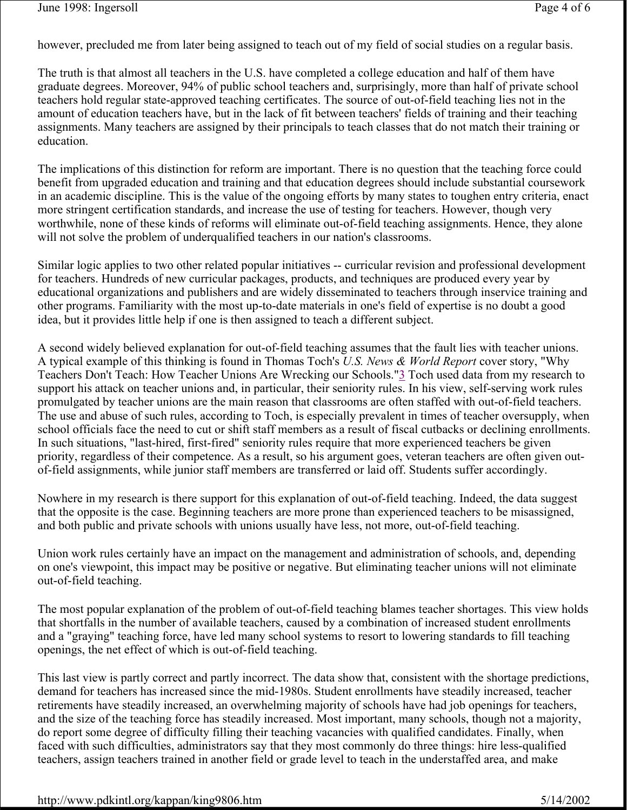however, precluded me from later being assigned to teach out of my field of social studies on a regular basis.

The truth is that almost all teachers in the U.S. have completed a college education and half of them have graduate degrees. Moreover, 94% of public school teachers and, surprisingly, more than half of private school teachers hold regular state-approved teaching certificates. The source of out-of-field teaching lies not in the amount of education teachers have, but in the lack of fit between teachers' fields of training and their teaching assignments. Many teachers are assigned by their principals to teach classes that do not match their training or education.

The implications of this distinction for reform are important. There is no question that the teaching force could benefit from upgraded education and training and that education degrees should include substantial coursework in an academic discipline. This is the value of the ongoing efforts by many states to toughen entry criteria, enact more stringent certification standards, and increase the use of testing for teachers. However, though very worthwhile, none of these kinds of reforms will eliminate out-of-field teaching assignments. Hence, they alone will not solve the problem of underqualified teachers in our nation's classrooms.

Similar logic applies to two other related popular initiatives -- curricular revision and professional development for teachers. Hundreds of new curricular packages, products, and techniques are produced every year by educational organizations and publishers and are widely disseminated to teachers through inservice training and other programs. Familiarity with the most up-to-date materials in one's field of expertise is no doubt a good idea, but it provides little help if one is then assigned to teach a different subject.

A second widely believed explanation for out-of-field teaching assumes that the fault lies with teacher unions. A typical example of this thinking is found in Thomas Toch's *U.S. News & World Report* cover story, "Why Teachers Don't Teach: How Teacher Unions Are Wrecking our Schools."3 Toch used data from my research to support his attack on teacher unions and, in particular, their seniority rules. In his view, self-serving work rules promulgated by teacher unions are the main reason that classrooms are often staffed with out-of-field teachers. The use and abuse of such rules, according to Toch, is especially prevalent in times of teacher oversupply, when school officials face the need to cut or shift staff members as a result of fiscal cutbacks or declining enrollments. In such situations, "last-hired, first-fired" seniority rules require that more experienced teachers be given priority, regardless of their competence. As a result, so his argument goes, veteran teachers are often given outof-field assignments, while junior staff members are transferred or laid off. Students suffer accordingly.

Nowhere in my research is there support for this explanation of out-of-field teaching. Indeed, the data suggest that the opposite is the case. Beginning teachers are more prone than experienced teachers to be misassigned, and both public and private schools with unions usually have less, not more, out-of-field teaching.

Union work rules certainly have an impact on the management and administration of schools, and, depending on one's viewpoint, this impact may be positive or negative. But eliminating teacher unions will not eliminate out-of-field teaching.

The most popular explanation of the problem of out-of-field teaching blames teacher shortages. This view holds that shortfalls in the number of available teachers, caused by a combination of increased student enrollments and a "graying" teaching force, have led many school systems to resort to lowering standards to fill teaching openings, the net effect of which is out-of-field teaching.

This last view is partly correct and partly incorrect. The data show that, consistent with the shortage predictions, demand for teachers has increased since the mid-1980s. Student enrollments have steadily increased, teacher retirements have steadily increased, an overwhelming majority of schools have had job openings for teachers, and the size of the teaching force has steadily increased. Most important, many schools, though not a majority, do report some degree of difficulty filling their teaching vacancies with qualified candidates. Finally, when faced with such difficulties, administrators say that they most commonly do three things: hire less-qualified teachers, assign teachers trained in another field or grade level to teach in the understaffed area, and make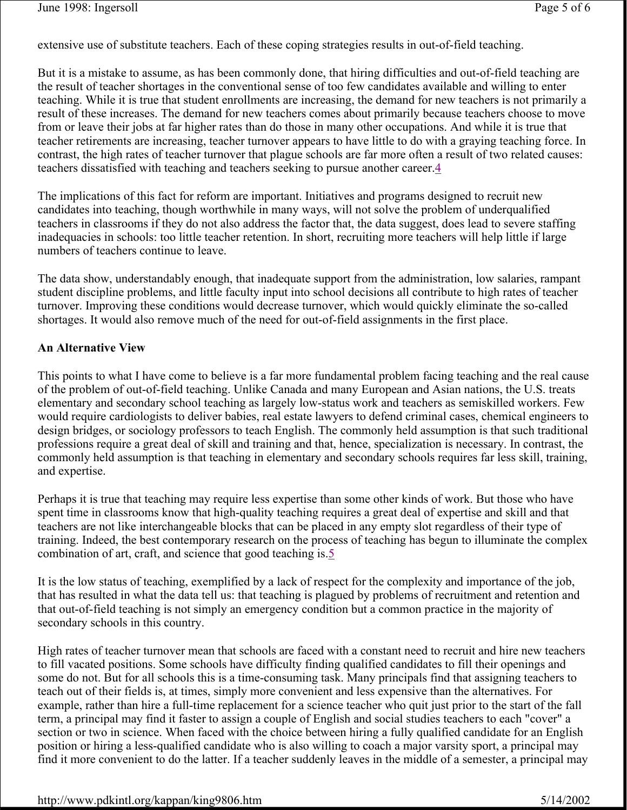extensive use of substitute teachers. Each of these coping strategies results in out-of-field teaching.

But it is a mistake to assume, as has been commonly done, that hiring difficulties and out-of-field teaching are the result of teacher shortages in the conventional sense of too few candidates available and willing to enter teaching. While it is true that student enrollments are increasing, the demand for new teachers is not primarily a result of these increases. The demand for new teachers comes about primarily because teachers choose to move from or leave their jobs at far higher rates than do those in many other occupations. And while it is true that teacher retirements are increasing, teacher turnover appears to have little to do with a graying teaching force. In contrast, the high rates of teacher turnover that plague schools are far more often a result of two related causes: teachers dissatisfied with teaching and teachers seeking to pursue another career.4

The implications of this fact for reform are important. Initiatives and programs designed to recruit new candidates into teaching, though worthwhile in many ways, will not solve the problem of underqualified teachers in classrooms if they do not also address the factor that, the data suggest, does lead to severe staffing inadequacies in schools: too little teacher retention. In short, recruiting more teachers will help little if large numbers of teachers continue to leave.

The data show, understandably enough, that inadequate support from the administration, low salaries, rampant student discipline problems, and little faculty input into school decisions all contribute to high rates of teacher turnover. Improving these conditions would decrease turnover, which would quickly eliminate the so-called shortages. It would also remove much of the need for out-of-field assignments in the first place.

#### **An Alternative View**

This points to what I have come to believe is a far more fundamental problem facing teaching and the real cause of the problem of out-of-field teaching. Unlike Canada and many European and Asian nations, the U.S. treats elementary and secondary school teaching as largely low-status work and teachers as semiskilled workers. Few would require cardiologists to deliver babies, real estate lawyers to defend criminal cases, chemical engineers to design bridges, or sociology professors to teach English. The commonly held assumption is that such traditional professions require a great deal of skill and training and that, hence, specialization is necessary. In contrast, the commonly held assumption is that teaching in elementary and secondary schools requires far less skill, training, and expertise.

Perhaps it is true that teaching may require less expertise than some other kinds of work. But those who have spent time in classrooms know that high-quality teaching requires a great deal of expertise and skill and that teachers are not like interchangeable blocks that can be placed in any empty slot regardless of their type of training. Indeed, the best contemporary research on the process of teaching has begun to illuminate the complex combination of art, craft, and science that good teaching is.5

It is the low status of teaching, exemplified by a lack of respect for the complexity and importance of the job, that has resulted in what the data tell us: that teaching is plagued by problems of recruitment and retention and that out-of-field teaching is not simply an emergency condition but a common practice in the majority of secondary schools in this country.

High rates of teacher turnover mean that schools are faced with a constant need to recruit and hire new teachers to fill vacated positions. Some schools have difficulty finding qualified candidates to fill their openings and some do not. But for all schools this is a time-consuming task. Many principals find that assigning teachers to teach out of their fields is, at times, simply more convenient and less expensive than the alternatives. For example, rather than hire a full-time replacement for a science teacher who quit just prior to the start of the fall term, a principal may find it faster to assign a couple of English and social studies teachers to each "cover" a section or two in science. When faced with the choice between hiring a fully qualified candidate for an English position or hiring a less-qualified candidate who is also willing to coach a major varsity sport, a principal may find it more convenient to do the latter. If a teacher suddenly leaves in the middle of a semester, a principal may